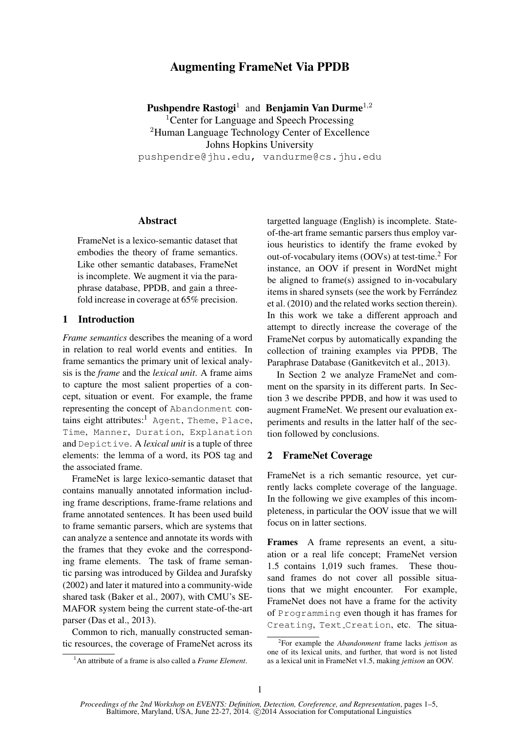# Augmenting FrameNet Via PPDB

Pushpendre Rastogi<sup>1</sup> and Benjamin Van Durme<sup>1,2</sup> <sup>1</sup>Center for Language and Speech Processing <sup>2</sup>Human Language Technology Center of Excellence Johns Hopkins University pushpendre@jhu.edu, vandurme@cs.jhu.edu

## **Abstract**

FrameNet is a lexico-semantic dataset that embodies the theory of frame semantics. Like other semantic databases, FrameNet is incomplete. We augment it via the paraphrase database, PPDB, and gain a threefold increase in coverage at 65% precision.

# 1 Introduction

*Frame semantics* describes the meaning of a word in relation to real world events and entities. In frame semantics the primary unit of lexical analysis is the *frame* and the *lexical unit*. A frame aims to capture the most salient properties of a concept, situation or event. For example, the frame representing the concept of Abandonment contains eight attributes:<sup>1</sup> Agent, Theme, Place, Time, Manner, Duration, Explanation and Depictive. A *lexical unit* is a tuple of three elements: the lemma of a word, its POS tag and the associated frame.

FrameNet is large lexico-semantic dataset that contains manually annotated information including frame descriptions, frame-frame relations and frame annotated sentences. It has been used build to frame semantic parsers, which are systems that can analyze a sentence and annotate its words with the frames that they evoke and the corresponding frame elements. The task of frame semantic parsing was introduced by Gildea and Jurafsky (2002) and later it matured into a community-wide shared task (Baker et al., 2007), with CMU's SE-MAFOR system being the current state-of-the-art parser (Das et al., 2013).

Common to rich, manually constructed semantic resources, the coverage of FrameNet across its targetted language (English) is incomplete. Stateof-the-art frame semantic parsers thus employ various heuristics to identify the frame evoked by out-of-vocabulary items  $(OOVs)$  at test-time.<sup>2</sup> For instance, an OOV if present in WordNet might be aligned to frame(s) assigned to in-vocabulary items in shared synsets (see the work by Ferrández et al. (2010) and the related works section therein). In this work we take a different approach and attempt to directly increase the coverage of the FrameNet corpus by automatically expanding the collection of training examples via PPDB, The Paraphrase Database (Ganitkevitch et al., 2013).

In Section 2 we analyze FrameNet and comment on the sparsity in its different parts. In Section 3 we describe PPDB, and how it was used to augment FrameNet. We present our evaluation experiments and results in the latter half of the section followed by conclusions.

## 2 FrameNet Coverage

FrameNet is a rich semantic resource, yet currently lacks complete coverage of the language. In the following we give examples of this incompleteness, in particular the OOV issue that we will focus on in latter sections.

Frames A frame represents an event, a situation or a real life concept; FrameNet version 1.5 contains 1,019 such frames. These thousand frames do not cover all possible situations that we might encounter. For example, FrameNet does not have a frame for the activity of Programming even though it has frames for Creating, Text Creation, etc. The situa-

<sup>1</sup>An attribute of a frame is also called a *Frame Element*.

<sup>2</sup> For example the *Abandonment* frame lacks *jettison* as one of its lexical units, and further, that word is not listed as a lexical unit in FrameNet v1.5, making *jettison* an OOV.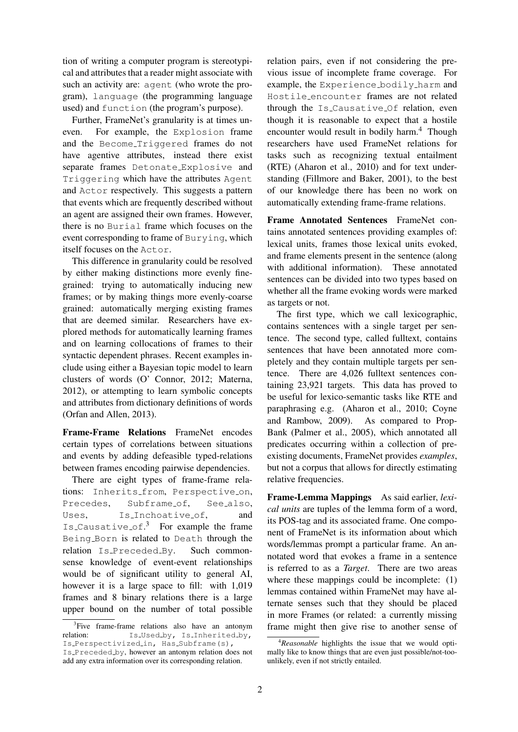tion of writing a computer program is stereotypical and attributes that a reader might associate with such an activity are: agent (who wrote the program), language (the programming language used) and function (the program's purpose).

Further, FrameNet's granularity is at times uneven. For example, the Explosion frame and the Become Triggered frames do not have agentive attributes, instead there exist separate frames Detonate Explosive and Triggering which have the attributes Agent and Actor respectively. This suggests a pattern that events which are frequently described without an agent are assigned their own frames. However, there is no Burial frame which focuses on the event corresponding to frame of Burying, which itself focuses on the Actor.

This difference in granularity could be resolved by either making distinctions more evenly finegrained: trying to automatically inducing new frames; or by making things more evenly-coarse grained: automatically merging existing frames that are deemed similar. Researchers have explored methods for automatically learning frames and on learning collocations of frames to their syntactic dependent phrases. Recent examples include using either a Bayesian topic model to learn clusters of words (O' Connor, 2012; Materna, 2012), or attempting to learn symbolic concepts and attributes from dictionary definitions of words (Orfan and Allen, 2013).

Frame-Frame Relations FrameNet encodes certain types of correlations between situations and events by adding defeasible typed-relations between frames encoding pairwise dependencies.

There are eight types of frame-frame relations: Inherits\_from, Perspective\_on, Precedes, Subframe\_of, See\_also, Uses, Is\_Inchoative\_of, and Is Causative of.<sup>3</sup> For example the frame Being Born is related to Death through the relation Is Preceded By. Such commonsense knowledge of event-event relationships would be of significant utility to general AI, however it is a large space to fill: with 1,019 frames and 8 binary relations there is a large upper bound on the number of total possible relation pairs, even if not considering the previous issue of incomplete frame coverage. For example, the Experience bodily harm and Hostile encounter frames are not related through the Is Causative Of relation, even though it is reasonable to expect that a hostile encounter would result in bodily harm.<sup>4</sup> Though researchers have used FrameNet relations for tasks such as recognizing textual entailment (RTE) (Aharon et al., 2010) and for text understanding (Fillmore and Baker, 2001), to the best of our knowledge there has been no work on automatically extending frame-frame relations.

Frame Annotated Sentences FrameNet contains annotated sentences providing examples of: lexical units, frames those lexical units evoked, and frame elements present in the sentence (along with additional information). These annotated sentences can be divided into two types based on whether all the frame evoking words were marked as targets or not.

The first type, which we call lexicographic, contains sentences with a single target per sentence. The second type, called fulltext, contains sentences that have been annotated more completely and they contain multiple targets per sentence. There are 4,026 fulltext sentences containing 23,921 targets. This data has proved to be useful for lexico-semantic tasks like RTE and paraphrasing e.g. (Aharon et al., 2010; Coyne and Rambow, 2009). As compared to Prop-Bank (Palmer et al., 2005), which annotated all predicates occurring within a collection of preexisting documents, FrameNet provides *examples*, but not a corpus that allows for directly estimating relative frequencies.

Frame-Lemma Mappings As said earlier, *lexical units* are tuples of the lemma form of a word, its POS-tag and its associated frame. One component of FrameNet is its information about which words/lemmas prompt a particular frame. An annotated word that evokes a frame in a sentence is referred to as a *Target*. There are two areas where these mappings could be incomplete: (1) lemmas contained within FrameNet may have alternate senses such that they should be placed in more Frames (or related: a currently missing frame might then give rise to another sense of

<sup>&</sup>lt;sup>3</sup>Five frame-frame relations also have an antonym relation: Is\_Used\_by, Is\_Inherited\_by, Is Perspectivized in, Has Subframe(s), Is Preceded by, however an antonym relation does not

add any extra information over its corresponding relation.

<sup>4</sup>*Reasonable* highlights the issue that we would optimally like to know things that are even just possible/not-toounlikely, even if not strictly entailed.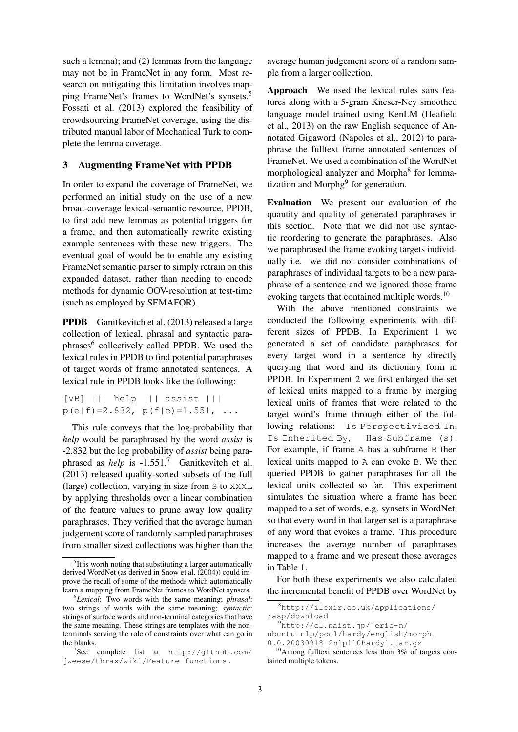such a lemma); and (2) lemmas from the language may not be in FrameNet in any form. Most research on mitigating this limitation involves mapping FrameNet's frames to WordNet's synsets.<sup>5</sup> Fossati et al. (2013) explored the feasibility of crowdsourcing FrameNet coverage, using the distributed manual labor of Mechanical Turk to complete the lemma coverage.

## 3 Augmenting FrameNet with PPDB

In order to expand the coverage of FrameNet, we performed an initial study on the use of a new broad-coverage lexical-semantic resource, PPDB, to first add new lemmas as potential triggers for a frame, and then automatically rewrite existing example sentences with these new triggers. The eventual goal of would be to enable any existing FrameNet semantic parser to simply retrain on this expanded dataset, rather than needing to encode methods for dynamic OOV-resolution at test-time (such as employed by SEMAFOR).

PPDB Ganitkevitch et al. (2013) released a large collection of lexical, phrasal and syntactic paraphrases<sup>6</sup> collectively called PPDB. We used the lexical rules in PPDB to find potential paraphrases of target words of frame annotated sentences. A lexical rule in PPDB looks like the following:

[VB] ||| help ||| assist |||  $p(e|f)=2.832, p(f|e)=1.551, ...$ 

This rule conveys that the log-probability that *help* would be paraphrased by the word *assist* is -2.832 but the log probability of *assist* being paraphrased as *help* is -1.551.<sup>7</sup> Ganitkevitch et al. (2013) released quality-sorted subsets of the full (large) collection, varying in size from S to XXXL by applying thresholds over a linear combination of the feature values to prune away low quality paraphrases. They verified that the average human judgement score of randomly sampled paraphrases from smaller sized collections was higher than the

average human judgement score of a random sample from a larger collection.

Approach We used the lexical rules sans features along with a 5-gram Kneser-Ney smoothed language model trained using KenLM (Heafield et al., 2013) on the raw English sequence of Annotated Gigaword (Napoles et al., 2012) to paraphrase the fulltext frame annotated sentences of FrameNet. We used a combination of the WordNet morphological analyzer and Morpha<sup>8</sup> for lemmatization and Morphg<sup>9</sup> for generation.

Evaluation We present our evaluation of the quantity and quality of generated paraphrases in this section. Note that we did not use syntactic reordering to generate the paraphrases. Also we paraphrased the frame evoking targets individually i.e. we did not consider combinations of paraphrases of individual targets to be a new paraphrase of a sentence and we ignored those frame evoking targets that contained multiple words.<sup>10</sup>

With the above mentioned constraints we conducted the following experiments with different sizes of PPDB. In Experiment 1 we generated a set of candidate paraphrases for every target word in a sentence by directly querying that word and its dictionary form in PPDB. In Experiment 2 we first enlarged the set of lexical units mapped to a frame by merging lexical units of frames that were related to the target word's frame through either of the following relations: Is Perspectivized In, Is\_Inherited\_By, Has\_Subframe (s). For example, if frame A has a subframe B then lexical units mapped to A can evoke B. We then queried PPDB to gather paraphrases for all the lexical units collected so far. This experiment simulates the situation where a frame has been mapped to a set of words, e.g. synsets in WordNet, so that every word in that larger set is a paraphrase of any word that evokes a frame. This procedure increases the average number of paraphrases mapped to a frame and we present those averages in Table 1.

For both these experiments we also calculated the incremental benefit of PPDB over WordNet by

<sup>&</sup>lt;sup>5</sup>It is worth noting that substituting a larger automatically derived WordNet (as derived in Snow et al. (2004)) could improve the recall of some of the methods which automatically learn a mapping from FrameNet frames to WordNet synsets.

<sup>6</sup> *Lexical*: Two words with the same meaning; *phrasal*: two strings of words with the same meaning; *syntactic*: strings of surface words and non-terminal categories that have the same meaning. These strings are templates with the nonterminals serving the role of constraints over what can go in the blanks.

<sup>7</sup> See complete list at http://github.com/ jweese/thrax/wiki/Feature-functions .

<sup>8</sup>http://ilexir.co.uk/applications/ rasp/download

<sup>&</sup>lt;sup>9</sup>http://cl.naist.jp/~eric-n/ ubuntu-nlp/pool/hardy/english/morph\_

<sup>0.0.20030918-2</sup>nlp1˜0hardy1.tar.gz

<sup>10</sup>Among fulltext sentences less than 3% of targets contained multiple tokens.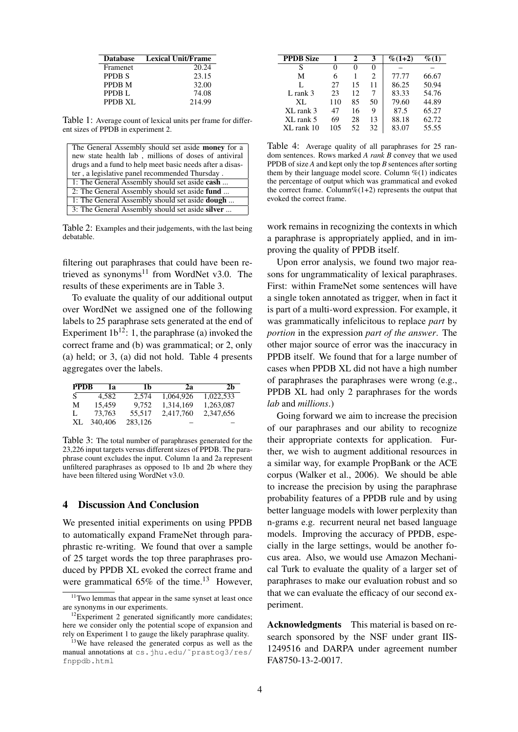| <b>Database</b>   | Lexical Unit/Frame |
|-------------------|--------------------|
| <b>Framenet</b>   | 20.24              |
| PPDB S            | 23.15              |
| PPDB M            | 32.00              |
| PPDB <sub>L</sub> | 74.08              |
| PPDB XL           | 214.99             |

Table 1: Average count of lexical units per frame for different sizes of PPDB in experiment 2.

| The General Assembly should set aside <b>money</b> for a |
|----------------------------------------------------------|
| new state health lab, millions of doses of antiviral     |
| drugs and a fund to help meet basic needs after a disas- |
| ter, a legislative panel recommended Thursday.           |
| 1: The General Assembly should set aside cash            |
| 2: The General Assembly should set aside fund            |
| 1: The General Assembly should set aside <b>dough</b>    |
| 3: The General Assembly should set aside silver          |
|                                                          |

Table 2: Examples and their judgements, with the last being debatable.

filtering out paraphrases that could have been retrieved as synonyms<sup>11</sup> from WordNet v3.0. The results of these experiments are in Table 3.

To evaluate the quality of our additional output over WordNet we assigned one of the following labels to 25 paraphrase sets generated at the end of Experiment  $1b^{12}$ : 1, the paraphrase (a) invoked the correct frame and (b) was grammatical; or 2, only (a) held; or 3, (a) did not hold. Table 4 presents aggregates over the labels.

| <b>PPDB</b> | 1я      | 1b      | 2э        | 2 <sub>h</sub> |
|-------------|---------|---------|-----------|----------------|
| <b>S</b>    | 4.582   | 2.574   | 1,064,926 | 1.022.533      |
| M           | 15.459  | 9.752   | 1.314.169 | 1,263,087      |
| L           | 73.763  | 55.517  | 2,417,760 | 2,347,656      |
| XL          | 340,406 | 283.126 |           |                |

Table 3: The total number of paraphrases generated for the 23,226 input targets versus different sizes of PPDB. The paraphrase count excludes the input. Column 1a and 2a represent unfiltered paraphrases as opposed to 1b and 2b where they have been filtered using WordNet v3.0.

#### 4 Discussion And Conclusion

We presented initial experiments on using PPDB to automatically expand FrameNet through paraphrastic re-writing. We found that over a sample of 25 target words the top three paraphrases produced by PPDB XL evoked the correct frame and were grammatical  $65\%$  of the time.<sup>13</sup> However,

| <b>PPDB Size</b> | 1   | 2  | 3  | $\%$ (1+2) | $\% (1)$ |
|------------------|-----|----|----|------------|----------|
| S                | 0   | 0  | 0  |            |          |
| М                | 6   |    | 2  | 77.77      | 66.67    |
| L                | 27  | 15 | 11 | 86.25      | 50.94    |
| $L$ rank 3       | 23  | 12 | 7  | 83.33      | 54.76    |
| XL               | 110 | 85 | 50 | 79.60      | 44.89    |
| XL rank 3        | 47  | 16 | 9  | 87.5       | 65.27    |
| XL rank 5        | 69  | 28 | 13 | 88.18      | 62.72    |
| XL rank 10       | 105 | 52 | 32 | 83.07      | 55.55    |

Table 4: Average quality of all paraphrases for 25 random sentences. Rows marked *A rank B* convey that we used PPDB of size *A* and kept only the top *B* sentences after sorting them by their language model score. Column  $\%$ (1) indicates the percentage of output which was grammatical and evoked the correct frame. Column% $(1+2)$  represents the output that evoked the correct frame.

work remains in recognizing the contexts in which a paraphrase is appropriately applied, and in improving the quality of PPDB itself.

Upon error analysis, we found two major reasons for ungrammaticality of lexical paraphrases. First: within FrameNet some sentences will have a single token annotated as trigger, when in fact it is part of a multi-word expression. For example, it was grammatically infelicitous to replace *part* by *portion* in the expression *part of the answer*. The other major source of error was the inaccuracy in PPDB itself. We found that for a large number of cases when PPDB XL did not have a high number of paraphrases the paraphrases were wrong (e.g., PPDB XL had only 2 paraphrases for the words *lab* and *millions*.)

Going forward we aim to increase the precision of our paraphrases and our ability to recognize their appropriate contexts for application. Further, we wish to augment additional resources in a similar way, for example PropBank or the ACE corpus (Walker et al., 2006). We should be able to increase the precision by using the paraphrase probability features of a PPDB rule and by using better language models with lower perplexity than n-grams e.g. recurrent neural net based language models. Improving the accuracy of PPDB, especially in the large settings, would be another focus area. Also, we would use Amazon Mechanical Turk to evaluate the quality of a larger set of paraphrases to make our evaluation robust and so that we can evaluate the efficacy of our second experiment.

Acknowledgments This material is based on research sponsored by the NSF under grant IIS-1249516 and DARPA under agreement number FA8750-13-2-0017.

 $11$ Two lemmas that appear in the same synset at least once are synonyms in our experiments.

 $12$ Experiment 2 generated significantly more candidates; here we consider only the potential scope of expansion and rely on Experiment 1 to gauge the likely paraphrase quality.

<sup>&</sup>lt;sup>13</sup>We have released the generated corpus as well as the manual annotations at cs.jhu.edu/~prastog3/res/ fnppdb.html